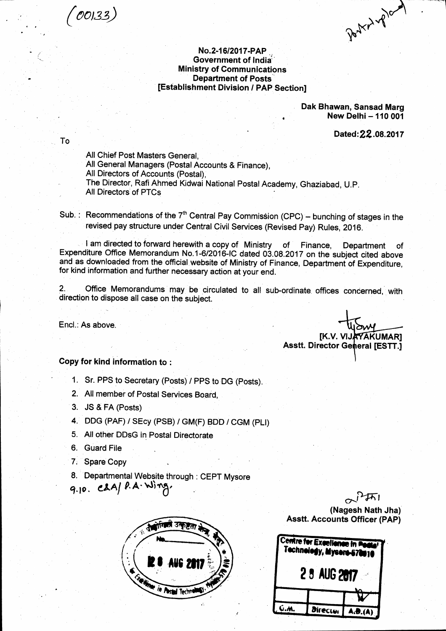$(00133)$ 

To

Porter of 2nd

### No.2-16/2017-PAP Government of India **Ministry of Communications Department of Posts** [Establishment Division / PAP Section]

Dak Bhawan, Sansad Marg New Delhi - 110 001

Dated: 22.08.2017

[K.V. VIJAYAKUMAR]

**Asstt. Director General [ESTT.]** 

All Chief Post Masters General. All General Managers (Postal Accounts & Finance), All Directors of Accounts (Postal). The Director, Rafi Ahmed Kidwai National Postal Academy, Ghaziabad, U.P. All Directors of PTCs

Sub.: Recommendations of the  $7<sup>th</sup>$  Central Pay Commission (CPC) – bunching of stages in the revised pay structure under Central Civil Services (Revised Pay) Rules, 2016.

I am directed to forward herewith a copy of Ministry of Finance, Department of Expenditure Office Memorandum No.1-6/2016-IC dated 03.08.2017 on the subject cited above and as downloaded from the official website of Ministry of Finance, Department of Expenditure, for kind information and further necessary action at your end.

Office Memorandums may be circulated to all sub-ordinate offices concerned, with 2. direction to dispose all case on the subject.

Encl.: As above.

Copy for kind information to:

1. Sr. PPS to Secretary (Posts) / PPS to DG (Posts).

2. All member of Postal Services Board,

3. JS & FA (Posts)

4. DDG (PAF) / SEcy (PSB) / GM(F) BDD / CGM (PLI)

5. All other DDsG in Postal Directorate

6. Guard File

7. Spare Copy

8. Departmental Website through: CEPT Mysore

 $9.10.$  CLA/  $P.A.$  Wing.



(Nagesh Nath Jha) **Asstt. Accounts Officer (PAP)** 

| Centre for Excellence in Pecke <sup>r</sup><br>Technology, Mysore-570010<br>2 8 AUG 2017 |                 |         |
|------------------------------------------------------------------------------------------|-----------------|---------|
|                                                                                          |                 |         |
|                                                                                          | <b>Director</b> | A.B.(A) |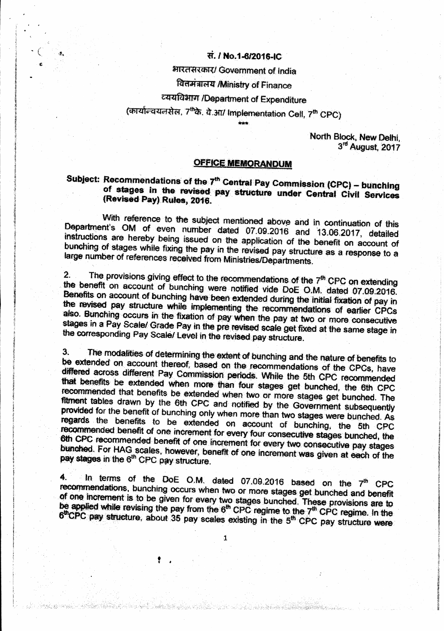## स. / No.1-6/2016-IC

भारतसरकार/ Government of India

## वितमंत्रालय /Ministry of Finance

# व्ययविभाग /Department of Expenditure

(कार्यान्वयनसेल, 7thके. वे.आ/ Implementation Cell, 7th CPC)

North Block, New Delhi, 3rd August, 2017

#### **OFFICE MEMORANDUM**

## Subject: Recommendations of the 7<sup>th</sup> Central Pay Commission (CPC) - bunching of stages in the revised pay structure under Central Civil Services (Revised Pay) Rules, 2016.

With reference to the subject mentioned above and in continuation of this Department's OM of even number dated 07.09.2016 and 13.06.2017, detailed instructions are hereby being issued on the application of the benefit on account of bunching of stages while fixing the pay in the revised pay structure as a response to a large number of references received from Ministries/Departments.

The provisions giving effect to the recommendations of the 7<sup>th</sup> CPC on extending  $\overline{2}$ . the benefit on account of bunching were notified vide DoE O.M. dated 07.09.2016. Benefits on account of bunching have been extended during the initial fixation of pay in the revised pay structure while implementing the recommendations of earlier CPCs also. Bunching occurs in the fixation of pay when the pay at two or more consecutive stages in a Pay Scale/ Grade Pay in the pre revised scale get fixed at the same stage in the corresponding Pay Scale/ Level in the revised pay structure.

The modalities of determining the extent of bunching and the nature of benefits to  $3<sup>1</sup>$ be extended on account thereof, based on the recommendations of the CPCs, have differed across different Pay Commission periods. While the 5th CPC recommended that benefits be extended when more than four stages get bunched, the 6th CPC recommended that benefits be extended when two or more stages get bunched. The fitment tables drawn by the 6th CPC and notified by the Government subsequently provided for the benefit of bunching only when more than two stages were bunched. As regards the benefits to be extended on account of bunching, the 5th CPC recommended benefit of one increment for every four consecutive stages bunched, the 6th CPC recommended benefit of one increment for every two consecutive pay stages bunched. For HAG scales, however, benefit of one increment was given at each of the pay stages in the 6<sup>th</sup> CPC pay structure.

In terms of the DoE O.M. dated 07.09.2016 based on the 7<sup>th</sup> CPC  $\ddot{4}$ recommendations, bunching occurs when two or more stages get bunched and benefit of one increment is to be given for every two stages bunched. These provisions are to be applied while revising the pay from the 6<sup>th</sup> CPC regime to the 7<sup>th</sup> CPC regime. In the 6<sup>th</sup>CPC pay structure, about 35 pay scales existing in the 5<sup>th</sup> CPC pay structure were